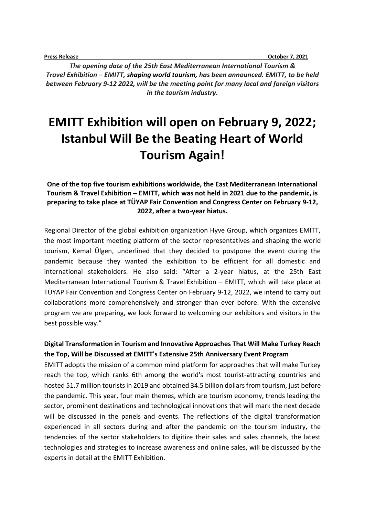**Press Release October 7, 2021** 

*The opening date of the 25th East Mediterranean International Tourism & Travel Exhibition – EMITT, shaping world tourism, has been announced. EMITT, to be held between February 9-12 2022, will be the meeting point for many local and foreign visitors in the tourism industry.* 

# **EMITT Exhibition will open on February 9, 2022; Istanbul Will Be the Beating Heart of World Tourism Again!**

**One of the top five tourism exhibitions worldwide, the East Mediterranean International Tourism & Travel Exhibition – EMITT, which was not held in 2021 due to the pandemic, is preparing to take place at TÜYAP Fair Convention and Congress Center on February 9-12, 2022, after a two-year hiatus.**

Regional Director of the global exhibition organization Hyve Group, which organizes EMITT, the most important meeting platform of the sector representatives and shaping the world tourism, Kemal Ülgen, underlined that they decided to postpone the event during the pandemic because they wanted the exhibition to be efficient for all domestic and international stakeholders. He also said: "After a 2-year hiatus, at the 25th East Mediterranean International Tourism & Travel Exhibition – EMITT, which will take place at TÜYAP Fair Convention and Congress Center on February 9-12, 2022, we intend to carry out collaborations more comprehensively and stronger than ever before. With the extensive program we are preparing, we look forward to welcoming our exhibitors and visitors in the best possible way."

### **Digital Transformation in Tourism and Innovative Approaches That Will Make Turkey Reach the Top, Will be Discussed at EMITT's Extensive 25th Anniversary Event Program**

EMITT adopts the mission of a common mind platform for approaches that will make Turkey reach the top, which ranks 6th among the world's most tourist-attracting countries and hosted 51.7 million tourists in 2019 and obtained 34.5 billion dollars from tourism, just before the pandemic. This year, four main themes, which are tourism economy, trends leading the sector, prominent destinations and technological innovations that will mark the next decade will be discussed in the panels and events. The reflections of the digital transformation experienced in all sectors during and after the pandemic on the tourism industry, the tendencies of the sector stakeholders to digitize their sales and sales channels, the latest technologies and strategies to increase awareness and online sales, will be discussed by the experts in detail at the EMITT Exhibition.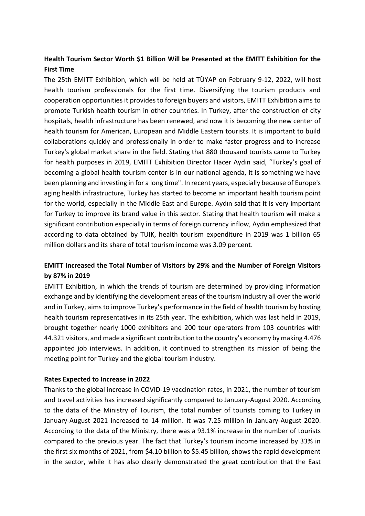# **Health Tourism Sector Worth \$1 Billion Will be Presented at the EMITT Exhibition for the First Time**

The 25th EMITT Exhibition, which will be held at TÜYAP on February 9-12, 2022, will host health tourism professionals for the first time. Diversifying the tourism products and cooperation opportunities it provides to foreign buyers and visitors, EMITT Exhibition aims to promote Turkish health tourism in other countries. In Turkey, after the construction of city hospitals, health infrastructure has been renewed, and now it is becoming the new center of health tourism for American, European and Middle Eastern tourists. It is important to build collaborations quickly and professionally in order to make faster progress and to increase Turkey's global market share in the field. Stating that 880 thousand tourists came to Turkey for health purposes in 2019, EMITT Exhibition Director Hacer Aydın said, "Turkey's goal of becoming a global health tourism center is in our national agenda, it is something we have been planning and investing in for a long time". In recent years, especially because of Europe's aging health infrastructure, Turkey has started to become an important health tourism point for the world, especially in the Middle East and Europe. Aydın said that it is very important for Turkey to improve its brand value in this sector. Stating that health tourism will make a significant contribution especially in terms of foreign currency inflow, Aydın emphasized that according to data obtained by TUIK, health tourism expenditure in 2019 was 1 billion 65 million dollars and its share of total tourism income was 3.09 percent.

# **EMITT Increased the Total Number of Visitors by 29% and the Number of Foreign Visitors by 87% in 2019**

EMITT Exhibition, in which the trends of tourism are determined by providing information exchange and by identifying the development areas of the tourism industry all over the world and in Turkey, aims to improve Turkey's performance in the field of health tourism by hosting health tourism representatives in its 25th year. The exhibition, which was last held in 2019, brought together nearly 1000 exhibitors and 200 tour operators from 103 countries with 44.321 visitors, and made a significant contribution to the country's economy by making 4.476 appointed job interviews. In addition, it continued to strengthen its mission of being the meeting point for Turkey and the global tourism industry.

#### **Rates Expected to Increase in 2022**

Thanks to the global increase in COVID-19 vaccination rates, in 2021, the number of tourism and travel activities has increased significantly compared to January-August 2020. According to the data of the Ministry of Tourism, the total number of tourists coming to Turkey in January-August 2021 increased to 14 million. It was 7.25 million in January-August 2020. According to the data of the Ministry, there was a 93.1% increase in the number of tourists compared to the previous year. The fact that Turkey's tourism income increased by 33% in the first six months of 2021, from \$4.10 billion to \$5.45 billion, shows the rapid development in the sector, while it has also clearly demonstrated the great contribution that the East